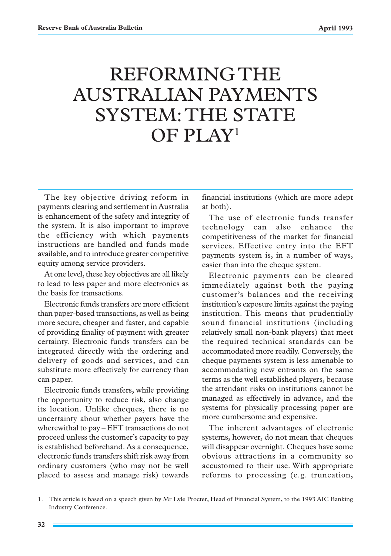# REFORMING THE AUSTRALIAN PAYMENTS SYSTEM: THE STATE OF PLAY1

The key objective driving reform in payments clearing and settlement in Australia is enhancement of the safety and integrity of the system. It is also important to improve the efficiency with which payments instructions are handled and funds made available, and to introduce greater competitive equity among service providers.

At one level, these key objectives are all likely to lead to less paper and more electronics as the basis for transactions.

Electronic funds transfers are more efficient than paper-based transactions, as well as being more secure, cheaper and faster, and capable of providing finality of payment with greater certainty. Electronic funds transfers can be integrated directly with the ordering and delivery of goods and services, and can substitute more effectively for currency than can paper.

Electronic funds transfers, while providing the opportunity to reduce risk, also change its location. Unlike cheques, there is no uncertainty about whether payers have the wherewithal to pay – EFT transactions do not proceed unless the customer's capacity to pay is established beforehand. As a consequence, electronic funds transfers shift risk away from ordinary customers (who may not be well placed to assess and manage risk) towards financial institutions (which are more adept at both).

The use of electronic funds transfer technology can also enhance the competitiveness of the market for financial services. Effective entry into the EFT payments system is, in a number of ways, easier than into the cheque system.

Electronic payments can be cleared immediately against both the paying customer's balances and the receiving institution's exposure limits against the paying institution. This means that prudentially sound financial institutions (including relatively small non-bank players) that meet the required technical standards can be accommodated more readily. Conversely, the cheque payments system is less amenable to accommodating new entrants on the same terms as the well established players, because the attendant risks on institutions cannot be managed as effectively in advance, and the systems for physically processing paper are more cumbersome and expensive.

The inherent advantages of electronic systems, however, do not mean that cheques will disappear overnight. Cheques have some obvious attractions in a community so accustomed to their use. With appropriate reforms to processing (e.g. truncation,

<sup>1.</sup> This article is based on a speech given by Mr Lyle Procter, Head of Financial System, to the 1993 AIC Banking Industry Conference.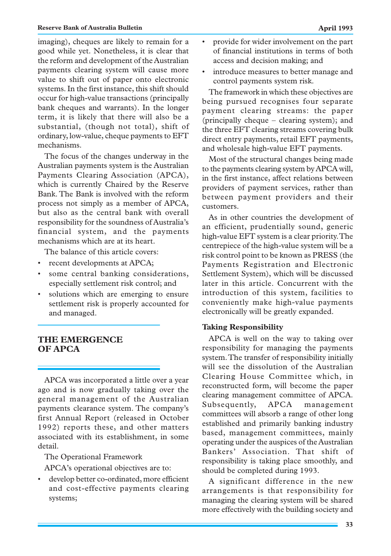### **Reserve Bank of Australia Bulletin April 1993**

imaging), cheques are likely to remain for a good while yet. Nonetheless, it is clear that the reform and development of the Australian payments clearing system will cause more value to shift out of paper onto electronic systems. In the first instance, this shift should occur for high-value transactions (principally bank cheques and warrants). In the longer term, it is likely that there will also be a substantial, (though not total), shift of ordinary, low-value, cheque payments to EFT mechanisms.

The focus of the changes underway in the Australian payments system is the Australian Payments Clearing Association (APCA), which is currently Chaired by the Reserve Bank. The Bank is involved with the reform process not simply as a member of APCA, but also as the central bank with overall responsibility for the soundness of Australia's financial system, and the payments mechanisms which are at its heart.

The balance of this article covers:

- recent developments at APCA;
- some central banking considerations, especially settlement risk control; and
- solutions which are emerging to ensure settlement risk is properly accounted for and managed.

# **THE EMERGENCE OF APCA**

APCA was incorporated a little over a year ago and is now gradually taking over the general management of the Australian payments clearance system. The company's first Annual Report (released in October 1992) reports these, and other matters associated with its establishment, in some detail.

The Operational Framework

APCA's operational objectives are to:

• develop better co-ordinated, more efficient and cost-effective payments clearing systems;

- provide for wider involvement on the part of financial institutions in terms of both access and decision making; and
- introduce measures to better manage and control payments system risk.

The framework in which these objectives are being pursued recognises four separate payment clearing streams: the paper (principally cheque – clearing system); and the three EFT clearing streams covering bulk direct entry payments, retail EFT payments, and wholesale high-value EFT payments.

Most of the structural changes being made to the payments clearing system by APCA will, in the first instance, affect relations between providers of payment services, rather than between payment providers and their customers.

As in other countries the development of an efficient, prudentially sound, generic high-value EFT system is a clear priority. The centrepiece of the high-value system will be a risk control point to be known as PRESS (the Payments Registration and Electronic Settlement System), which will be discussed later in this article. Concurrent with the introduction of this system, facilities to conveniently make high-value payments electronically will be greatly expanded.

# **Taking Responsibility**

APCA is well on the way to taking over responsibility for managing the payments system. The transfer of responsibility initially will see the dissolution of the Australian Clearing House Committee which, in reconstructed form, will become the paper clearing management committee of APCA. Subsequently, APCA management committees will absorb a range of other long established and primarily banking industry based, management committees, mainly operating under the auspices of the Australian Bankers' Association. That shift of responsibility is taking place smoothly, and should be completed during 1993.

A significant difference in the new arrangements is that responsibility for managing the clearing system will be shared more effectively with the building society and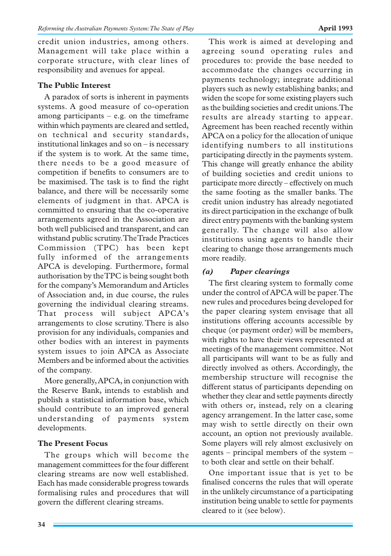credit union industries, among others. Management will take place within a corporate structure, with clear lines of responsibility and avenues for appeal.

## **The Public Interest**

A paradox of sorts is inherent in payments systems. A good measure of co-operation among participants  $-$  e.g. on the timeframe within which payments are cleared and settled, on technical and security standards, institutional linkages and so on – is necessary if the system is to work. At the same time, there needs to be a good measure of competition if benefits to consumers are to be maximised. The task is to find the right balance, and there will be necessarily some elements of judgment in that. APCA is committed to ensuring that the co-operative arrangements agreed in the Association are both well publicised and transparent, and can withstand public scrutiny. The Trade Practices Commission (TPC) has been kept fully informed of the arrangements APCA is developing. Furthermore, formal authorisation by the TPC is being sought both for the company's Memorandum and Articles of Association and, in due course, the rules governing the individual clearing streams. That process will subject APCA's arrangements to close scrutiny. There is also provision for any individuals, companies and other bodies with an interest in payments system issues to join APCA as Associate Members and be informed about the activities of the company.

More generally, APCA, in conjunction with the Reserve Bank, intends to establish and publish a statistical information base, which should contribute to an improved general understanding of payments system developments.

# **The Present Focus**

The groups which will become the management committees for the four different clearing streams are now well established. Each has made considerable progress towards formalising rules and procedures that will govern the different clearing streams.

This work is aimed at developing and agreeing sound operating rules and procedures to: provide the base needed to accommodate the changes occurring in payments technology; integrate additional players such as newly establishing banks; and widen the scope for some existing players such as the building societies and credit unions. The results are already starting to appear. Agreement has been reached recently within APCA on a policy for the allocation of unique identifying numbers to all institutions participating directly in the payments system. This change will greatly enhance the ability of building societies and credit unions to participate more directly – effectively on much the same footing as the smaller banks. The credit union industry has already negotiated its direct participation in the exchange of bulk direct entry payments with the banking system generally. The change will also allow institutions using agents to handle their clearing to change those arrangements much more readily.

# *(a) Paper clearings*

The first clearing system to formally come under the control of APCA will be paper. The new rules and procedures being developed for the paper clearing system envisage that all institutions offering accounts accessible by cheque (or payment order) will be members, with rights to have their views represented at meetings of the management committee. Not all participants will want to be as fully and directly involved as others. Accordingly, the membership structure will recognise the different status of participants depending on whether they clear and settle payments directly with others or, instead, rely on a clearing agency arrangement. In the latter case, some may wish to settle directly on their own account, an option not previously available. Some players will rely almost exclusively on agents – principal members of the system – to both clear and settle on their behalf.

One important issue that is yet to be finalised concerns the rules that will operate in the unlikely circumstance of a participating institution being unable to settle for payments cleared to it (see below).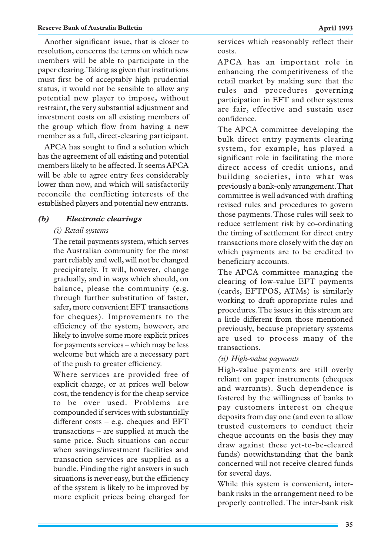Another significant issue, that is closer to resolution, concerns the terms on which new members will be able to participate in the paper clearing. Taking as given that institutions must first be of acceptably high prudential status, it would not be sensible to allow any potential new player to impose, without restraint, the very substantial adjustment and investment costs on all existing members of the group which flow from having a new member as a full, direct-clearing participant.

APCA has sought to find a solution which has the agreement of all existing and potential members likely to be affected. It seems APCA will be able to agree entry fees considerably lower than now, and which will satisfactorily reconcile the conflicting interests of the established players and potential new entrants.

# *(b) Electronic clearings*

## *(i) Retail systems*

The retail payments system, which serves the Australian community for the most part reliably and well, will not be changed precipitately. It will, however, change gradually, and in ways which should, on balance, please the community (e.g. through further substitution of faster, safer, more convenient EFT transactions for cheques). Improvements to the efficiency of the system, however, are likely to involve some more explicit prices for payments services – which may be less welcome but which are a necessary part of the push to greater efficiency.

Where services are provided free of explicit charge, or at prices well below cost, the tendency is for the cheap service to be over used. Problems are compounded if services with substantially different costs – e.g. cheques and EFT transactions – are supplied at much the same price. Such situations can occur when savings/investment facilities and transaction services are supplied as a bundle. Finding the right answers in such situations is never easy, but the efficiency of the system is likely to be improved by more explicit prices being charged for services which reasonably reflect their costs.

APCA has an important role in enhancing the competitiveness of the retail market by making sure that the rules and procedures governing participation in EFT and other systems are fair, effective and sustain user confidence.

The APCA committee developing the bulk direct entry payments clearing system, for example, has played a significant role in facilitating the more direct access of credit unions, and building societies, into what was previously a bank-only arrangement. That committee is well advanced with drafting revised rules and procedures to govern those payments. Those rules will seek to reduce settlement risk by co-ordinating the timing of settlement for direct entry transactions more closely with the day on which payments are to be credited to beneficiary accounts.

The APCA committee managing the clearing of low-value EFT payments (cards, EFTPOS, ATMs) is similarly working to draft appropriate rules and procedures. The issues in this stream are a little different from those mentioned previously, because proprietary systems are used to process many of the transactions.

## *(ii) High-value payments*

High-value payments are still overly reliant on paper instruments (cheques and warrants). Such dependence is fostered by the willingness of banks to pay customers interest on cheque deposits from day one (and even to allow trusted customers to conduct their cheque accounts on the basis they may draw against these yet-to-be-cleared funds) notwithstanding that the bank concerned will not receive cleared funds for several days.

While this system is convenient, interbank risks in the arrangement need to be properly controlled. The inter-bank risk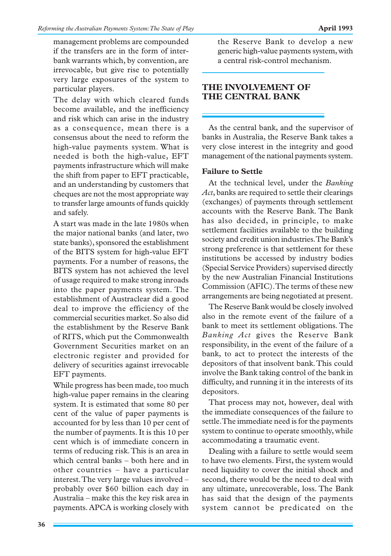management problems are compounded if the transfers are in the form of interbank warrants which, by convention, are irrevocable, but give rise to potentially very large exposures of the system to particular players.

The delay with which cleared funds become available, and the inefficiency and risk which can arise in the industry as a consequence, mean there is a consensus about the need to reform the high-value payments system. What is needed is both the high-value, EFT payments infrastructure which will make the shift from paper to EFT practicable, and an understanding by customers that cheques are not the most appropriate way to transfer large amounts of funds quickly and safely.

A start was made in the late 1980s when the major national banks (and later, two state banks), sponsored the establishment of the BITS system for high-value EFT payments. For a number of reasons, the BITS system has not achieved the level of usage required to make strong inroads into the paper payments system. The establishment of Austraclear did a good deal to improve the efficiency of the commercial securities market. So also did the establishment by the Reserve Bank of RITS, which put the Commonwealth Government Securities market on an electronic register and provided for delivery of securities against irrevocable EFT payments.

While progress has been made, too much high-value paper remains in the clearing system. It is estimated that some 80 per cent of the value of paper payments is accounted for by less than 10 per cent of the number of payments. It is this 10 per cent which is of immediate concern in terms of reducing risk. This is an area in which central banks – both here and in other countries – have a particular interest. The very large values involved – probably over \$60 billion each day in Australia – make this the key risk area in payments. APCA is working closely with the Reserve Bank to develop a new generic high-value payments system, with a central risk-control mechanism.

# **THE INVOLVEMENT OF THE CENTRAL BANK**

As the central bank, and the supervisor of banks in Australia, the Reserve Bank takes a very close interest in the integrity and good management of the national payments system.

# **Failure to Settle**

At the technical level, under the *Banking Act*, banks are required to settle their clearings (exchanges) of payments through settlement accounts with the Reserve Bank. The Bank has also decided, in principle, to make settlement facilities available to the building society and credit union industries. The Bank's strong preference is that settlement for these institutions be accessed by industry bodies (Special Service Providers) supervised directly by the new Australian Financial Institutions Commission (AFIC). The terms of these new arrangements are being negotiated at present.

The Reserve Bank would be closely involved also in the remote event of the failure of a bank to meet its settlement obligations. The *Banking Act* gives the Reserve Bank responsibility, in the event of the failure of a bank, to act to protect the interests of the depositors of that insolvent bank. This could involve the Bank taking control of the bank in difficulty, and running it in the interests of its depositors.

That process may not, however, deal with the immediate consequences of the failure to settle. The immediate need is for the payments system to continue to operate smoothly, while accommodating a traumatic event.

Dealing with a failure to settle would seem to have two elements. First, the system would need liquidity to cover the initial shock and second, there would be the need to deal with any ultimate, unrecoverable, loss. The Bank has said that the design of the payments system cannot be predicated on the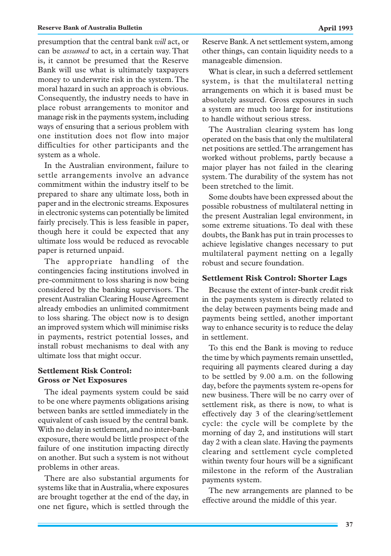presumption that the central bank *will* act, or can be *assumed* to act, in a certain way. That is, it cannot be presumed that the Reserve Bank will use what is ultimately taxpayers money to underwrite risk in the system. The moral hazard in such an approach is obvious. Consequently, the industry needs to have in place robust arrangements to monitor and manage risk in the payments system, including ways of ensuring that a serious problem with one institution does not flow into major difficulties for other participants and the system as a whole.

In the Australian environment, failure to settle arrangements involve an advance commitment within the industry itself to be prepared to share any ultimate loss, both in paper and in the electronic streams. Exposures in electronic systems can potentially be limited fairly precisely. This is less feasible in paper, though here it could be expected that any ultimate loss would be reduced as revocable paper is returned unpaid.

The appropriate handling of the contingencies facing institutions involved in pre-commitment to loss sharing is now being considered by the banking supervisors. The present Australian Clearing House Agreement already embodies an unlimited commitment to loss sharing. The object now is to design an improved system which will minimise risks in payments, restrict potential losses, and install robust mechanisms to deal with any ultimate loss that might occur.

## **Settlement Risk Control: Gross or Net Exposures**

The ideal payments system could be said to be one where payments obligations arising between banks are settled immediately in the equivalent of cash issued by the central bank. With no delay in settlement, and no inter-bank exposure, there would be little prospect of the failure of one institution impacting directly on another. But such a system is not without problems in other areas.

There are also substantial arguments for systems like that in Australia, where exposures are brought together at the end of the day, in one net figure, which is settled through the Reserve Bank. A net settlement system, among other things, can contain liquidity needs to a manageable dimension.

What is clear, in such a deferred settlement system, is that the multilateral netting arrangements on which it is based must be absolutely assured. Gross exposures in such a system are much too large for institutions to handle without serious stress.

The Australian clearing system has long operated on the basis that only the multilateral net positions are settled. The arrangement has worked without problems, partly because a major player has not failed in the clearing system. The durability of the system has not been stretched to the limit.

Some doubts have been expressed about the possible robustness of multilateral netting in the present Australian legal environment, in some extreme situations. To deal with these doubts, the Bank has put in train processes to achieve legislative changes necessary to put multilateral payment netting on a legally robust and secure foundation.

## **Settlement Risk Control: Shorter Lags**

Because the extent of inter-bank credit risk in the payments system is directly related to the delay between payments being made and payments being settled, another important way to enhance security is to reduce the delay in settlement.

To this end the Bank is moving to reduce the time by which payments remain unsettled, requiring all payments cleared during a day to be settled by 9.00 a.m. on the following day, before the payments system re-opens for new business. There will be no carry over of settlement risk, as there is now, to what is effectively day 3 of the clearing/settlement cycle: the cycle will be complete by the morning of day 2, and institutions will start day 2 with a clean slate. Having the payments clearing and settlement cycle completed within twenty four hours will be a significant milestone in the reform of the Australian payments system.

The new arrangements are planned to be effective around the middle of this year.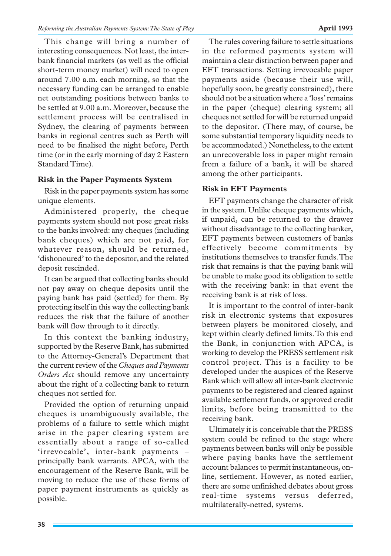This change will bring a number of interesting consequences. Not least, the interbank financial markets (as well as the official short-term money market) will need to open around 7.00 a.m. each morning, so that the necessary funding can be arranged to enable net outstanding positions between banks to be settled at 9.00 a.m. Moreover, because the settlement process will be centralised in Sydney, the clearing of payments between banks in regional centres such as Perth will need to be finalised the night before, Perth time (or in the early morning of day 2 Eastern Standard Time).

# **Risk in the Paper Payments System**

Risk in the paper payments system has some unique elements.

Administered properly, the cheque payments system should not pose great risks to the banks involved: any cheques (including bank cheques) which are not paid, for whatever reason, should be returned, 'dishonoured' to the depositor, and the related deposit rescinded.

It can be argued that collecting banks should not pay away on cheque deposits until the paying bank has paid (settled) for them. By protecting itself in this way the collecting bank reduces the risk that the failure of another bank will flow through to it directly.

In this context the banking industry, supported by the Reserve Bank, has submitted to the Attorney-General's Department that the current review of the *Cheques and Payments Orders Act* should remove any uncertainty about the right of a collecting bank to return cheques not settled for.

Provided the option of returning unpaid cheques is unambiguously available, the problems of a failure to settle which might arise in the paper clearing system are essentially about a range of so-called 'irrevocable', inter-bank payments – principally bank warrants. APCA, with the encouragement of the Reserve Bank, will be moving to reduce the use of these forms of paper payment instruments as quickly as possible.

The rules covering failure to settle situations in the reformed payments system will maintain a clear distinction between paper and EFT transactions. Setting irrevocable paper payments aside (because their use will, hopefully soon, be greatly constrained), there should not be a situation where a 'loss' remains in the paper (cheque) clearing system; all cheques not settled for will be returned unpaid to the depositor. (There may, of course, be some substantial temporary liquidity needs to be accommodated.) Nonetheless, to the extent an unrecoverable loss in paper might remain from a failure of a bank, it will be shared among the other participants.

# **Risk in EFT Payments**

EFT payments change the character of risk in the system. Unlike cheque payments which, if unpaid, can be returned to the drawer without disadvantage to the collecting banker, EFT payments between customers of banks effectively become commitments by institutions themselves to transfer funds. The risk that remains is that the paying bank will be unable to make good its obligation to settle with the receiving bank: in that event the receiving bank is at risk of loss.

It is important to the control of inter-bank risk in electronic systems that exposures between players be monitored closely, and kept within clearly defined limits. To this end the Bank, in conjunction with APCA, is working to develop the PRESS settlement risk control project. This is a facility to be developed under the auspices of the Reserve Bank which will allow all inter-bank electronic payments to be registered and cleared against available settlement funds, or approved credit limits, before being transmitted to the receiving bank.

Ultimately it is conceivable that the PRESS system could be refined to the stage where payments between banks will only be possible where paying banks have the settlement account balances to permit instantaneous, online, settlement. However, as noted earlier, there are some unfinished debates about gross real-time systems versus deferred, multilaterally-netted, systems.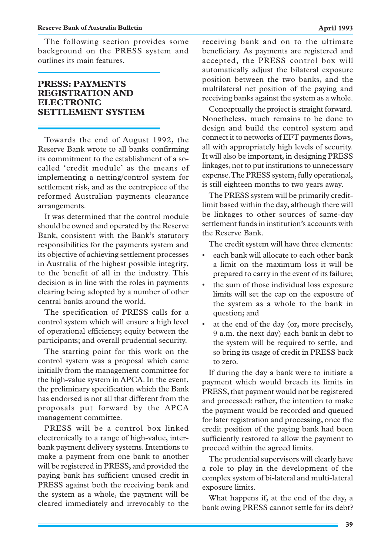The following section provides some background on the PRESS system and outlines its main features.

# **PRESS: PAYMENTS REGISTRATION AND ELECTRONIC SETTLEMENT SYSTEM**

Towards the end of August 1992, the Reserve Bank wrote to all banks confirming its commitment to the establishment of a socalled 'credit module' as the means of implementing a netting/control system for settlement risk, and as the centrepiece of the reformed Australian payments clearance arrangements.

It was determined that the control module should be owned and operated by the Reserve Bank, consistent with the Bank's statutory responsibilities for the payments system and its objective of achieving settlement processes in Australia of the highest possible integrity, to the benefit of all in the industry. This decision is in line with the roles in payments clearing being adopted by a number of other central banks around the world.

The specification of PRESS calls for a control system which will ensure a high level of operational efficiency; equity between the participants; and overall prudential security.

The starting point for this work on the control system was a proposal which came initially from the management committee for the high-value system in APCA. In the event, the preliminary specification which the Bank has endorsed is not all that different from the proposals put forward by the APCA management committee.

PRESS will be a control box linked electronically to a range of high-value, interbank payment delivery systems. Intentions to make a payment from one bank to another will be registered in PRESS, and provided the paying bank has sufficient unused credit in PRESS against both the receiving bank and the system as a whole, the payment will be cleared immediately and irrevocably to the receiving bank and on to the ultimate beneficiary. As payments are registered and accepted, the PRESS control box will automatically adjust the bilateral exposure position between the two banks, and the multilateral net position of the paying and receiving banks against the system as a whole.

Conceptually the project is straight forward. Nonetheless, much remains to be done to design and build the control system and connect it to networks of EFT payments flows, all with appropriately high levels of security. It will also be important, in designing PRESS linkages, not to put institutions to unnecessary expense. The PRESS system, fully operational, is still eighteen months to two years away.

The PRESS system will be primarily creditlimit based within the day, although there will be linkages to other sources of same-day settlement funds in institution's accounts with the Reserve Bank.

The credit system will have three elements:

- each bank will allocate to each other bank a limit on the maximum loss it will be prepared to carry in the event of its failure;
- the sum of those individual loss exposure limits will set the cap on the exposure of the system as a whole to the bank in question; and
- at the end of the day (or, more precisely, 9 a.m. the next day) each bank in debt to the system will be required to settle, and so bring its usage of credit in PRESS back to zero.

If during the day a bank were to initiate a payment which would breach its limits in PRESS, that payment would not be registered and processed: rather, the intention to make the payment would be recorded and queued for later registration and processing, once the credit position of the paying bank had been sufficiently restored to allow the payment to proceed within the agreed limits.

The prudential supervisors will clearly have a role to play in the development of the complex system of bi-lateral and multi-lateral exposure limits.

What happens if, at the end of the day, a bank owing PRESS cannot settle for its debt?